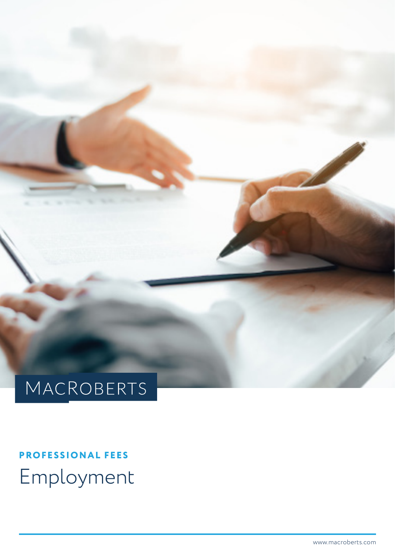# MACROBERTS

**PROFESSIONAL FEES** Employment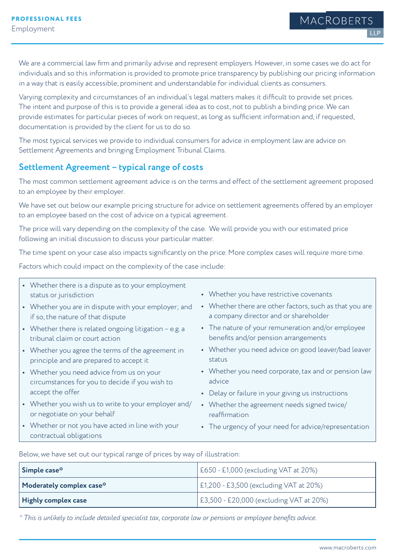MACROBERT

We are a commercial law firm and primarily advise and represent employers. However, in some cases we do act for individuals and so this information is provided to promote price transparency by publishing our pricing information in a way that is easily accessible, prominent and understandable for individual clients as consumers.

Varying complexity and circumstances of an individual's legal matters makes it difficult to provide set prices. The intent and purpose of this is to provide a general idea as to cost, not to publish a binding price. We can provide estimates for particular pieces of work on request, as long as sufficient information and, if requested, documentation is provided by the client for us to do so.

The most typical services we provide to individual consumers for advice in employment law are advice on Settlement Agreements and bringing Employment Tribunal Claims.

#### **Settlement Agreement – typical range of costs**

The most common settlement agreement advice is on the terms and effect of the settlement agreement proposed to an employee by their employer.

We have set out below our example pricing structure for advice on settlement agreements offered by an employer to an employee based on the cost of advice on a typical agreement.

The price will vary depending on the complexity of the case. We will provide you with our estimated price following an initial discussion to discuss your particular matter.

The time spent on your case also impacts significantly on the price. More complex cases will require more time.

Factors which could impact on the complexity of the case include:

| • Whether there is a dispute as to your employment<br>status or jurisdiction                 | • Whether you have restrictive covenants                                                         |
|----------------------------------------------------------------------------------------------|--------------------------------------------------------------------------------------------------|
| • Whether you are in dispute with your employer; and<br>if so, the nature of that dispute    | • Whether there are other factors, such as that you are<br>a company director and or shareholder |
| • Whether there is related ongoing litigation - e.g. a<br>tribunal claim or court action     | • The nature of your remuneration and/or employee<br>benefits and/or pension arrangements        |
| • Whether you agree the terms of the agreement in<br>principle and are prepared to accept it | • Whether you need advice on good leaver/bad leaver<br>status                                    |
| • Whether you need advice from us on your<br>circumstances for you to decide if you wish to  | • Whether you need corporate, tax and or pension law<br>advice                                   |
| accept the offer                                                                             | • Delay or failure in your giving us instructions                                                |
| • Whether you wish us to write to your employer and/<br>or negotiate on your behalf          | • Whether the agreement needs signed twice/<br>reaffirmation                                     |
| • Whether or not you have acted in line with your<br>contractual obligations                 | • The urgency of your need for advice/representation                                             |
|                                                                                              |                                                                                                  |

Below, we have set out our typical range of prices by way of illustration:

| Simple case <sup>®</sup>                                             | E650 - £1,000 (excluding VAT at 20%)    |
|----------------------------------------------------------------------|-----------------------------------------|
| $\vert$ Moderately complex case <sup><math>\ddot{\cdot}</math></sup> | E1,200 - £3,500 (excluding VAT at 20%)  |
| Highly complex case                                                  | E3,500 - £20,000 (excluding VAT at 20%) |

*\* This is unlikely to include detailed specialist tax, corporate law or pensions or employee benefits advice.*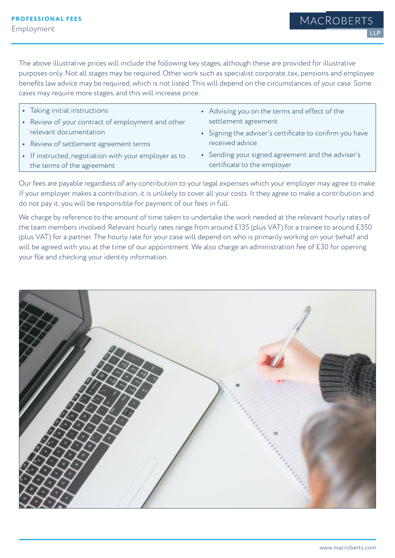LLP

The above illustrative prices will include the following key stages, although these are provided for illustrative purposes only. Not all stages may be required. Other work such as specialist corporate, tax, pensions and employee benefits law advice may be required, which is not listed. This will depend on the circumstances of your case. Some cases may require more stages, and this will increase price.

| • Taking initial instructions                         | • Advising you on the terms and effect of the           |
|-------------------------------------------------------|---------------------------------------------------------|
| • Review of your contract of employment and other     | settlement agreement                                    |
| relevant documentation                                | • Signing the adviser's certificate to confirm you have |
| • Review of settlement agreement terms                | received advice                                         |
| • If instructed, negotiation with your employer as to | • Sending your signed agreement and the adviser's       |
| the terms of the agreement                            | certificate to the employer                             |

Our fees are payable regardless of any contribution to your legal expenses which your employer may agree to make. If your employer makes a contribution, it is unlikely to cover all your costs. It they agree to make a contribution and do not pay it, you will be responsible for payment of our fees in full.

We charge by reference to the amount of time taken to undertake the work needed at the relevant hourly rates of the team members involved. Relevant hourly rates range from around £135 (plus VAT) for a trainee to around £350 (plus VAT) for a partner. The hourly rate for your case will depend on who is primarily working on your behalf and will be agreed with you at the time of our appointment. We also charge an administration fee of £30 for opening your file and checking your identity information.

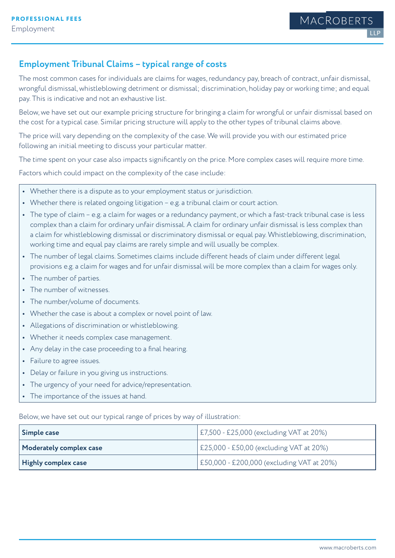### **Employment Tribunal Claims – typical range of costs**

The most common cases for individuals are claims for wages, redundancy pay, breach of contract, unfair dismissal, wrongful dismissal, whistleblowing detriment or dismissal; discrimination, holiday pay or working time; and equal pay. This is indicative and not an exhaustive list.

Below, we have set out our example pricing structure for bringing a claim for wrongful or unfair dismissal based on the cost for a typical case. Similar pricing structure will apply to the other types of tribunal claims above.

The price will vary depending on the complexity of the case. We will provide you with our estimated price following an initial meeting to discuss your particular matter.

The time spent on your case also impacts significantly on the price. More complex cases will require more time.

Factors which could impact on the complexity of the case include:

- **•** Whether there is a dispute as to your employment status or jurisdiction.
- Whether there is related ongoing litigation e.g. a tribunal claim or court action.
- **•** The type of claim e.g. a claim for wages or a redundancy payment, or which a fast-track tribunal case is less complex than a claim for ordinary unfair dismissal. A claim for ordinary unfair dismissal is less complex than a claim for whistleblowing dismissal or discriminatory dismissal or equal pay. Whistleblowing, discrimination, working time and equal pay claims are rarely simple and will usually be complex.
- **•** The number of legal claims. Sometimes claims include different heads of claim under different legal provisions e.g. a claim for wages and for unfair dismissal will be more complex than a claim for wages only.
- **•** The number of parties.
- **•** The number of witnesses.
- **•** The number/volume of documents.
- **•** Whether the case is about a complex or novel point of law.
- **•** Allegations of discrimination or whistleblowing.
- **•** Whether it needs complex case management.
- **•** Any delay in the case proceeding to a final hearing.
- **•** Failure to agree issues.
- **•** Delay or failure in you giving us instructions.
- **•** The urgency of your need for advice/representation.
- **•** The importance of the issues at hand.

Below, we have set out our typical range of prices by way of illustration:

| Simple case             | E7,500 - £25,000 (excluding VAT at 20%)   |
|-------------------------|-------------------------------------------|
| Moderately complex case | E25,000 - £50,00 (excluding VAT at 20%)   |
| Highly complex case     | E50,000 - £200,000 (excluding VAT at 20%) |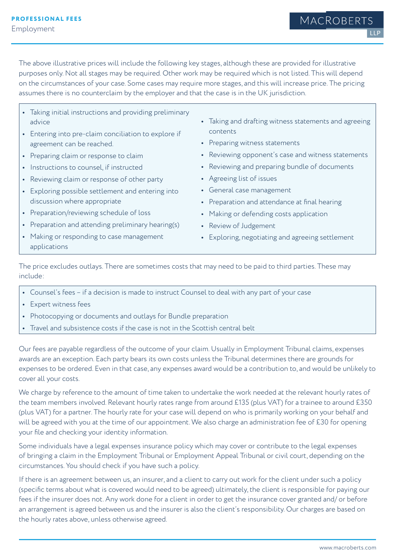The above illustrative prices will include the following key stages, although these are provided for illustrative purposes only. Not all stages may be required. Other work may be required which is not listed. This will depend on the circumstances of your case. Some cases may require more stages, and this will increase price. The pricing assumes there is no counterclaim by the employer and that the case is in the UK jurisdiction.

- **•** Taking initial instructions and providing preliminary advice
- **•** Entering into pre-claim conciliation to explore if agreement can be reached.
- **•** Preparing claim or response to claim
- **•** Instructions to counsel, if instructed
- **•** Reviewing claim or response of other party
- **•** Exploring possible settlement and entering into discussion where appropriate
- **•** Preparation/reviewing schedule of loss
- Preparation and attending preliminary hearing(s)
- **•** Making or responding to case management applications
- **•** Taking and drafting witness statements and agreeing contents
- **•** Preparing witness statements
- **•** Reviewing opponent's case and witness statements
- **•** Reviewing and preparing bundle of documents
- **•** Agreeing list of issues
- **•** General case management
- **•** Preparation and attendance at final hearing
- **•** Making or defending costs application
- **•** Review of Judgement
- **•** Exploring, negotiating and agreeing settlement

The price excludes outlays. There are sometimes costs that may need to be paid to third parties. These may include:

- **•** Counsel's fees if a decision is made to instruct Counsel to deal with any part of your case
- **•** Expert witness fees
- **•** Photocopying or documents and outlays for Bundle preparation
- **•** Travel and subsistence costs if the case is not in the Scottish central belt

Our fees are payable regardless of the outcome of your claim. Usually in Employment Tribunal claims, expenses awards are an exception. Each party bears its own costs unless the Tribunal determines there are grounds for expenses to be ordered. Even in that case, any expenses award would be a contribution to, and would be unlikely to cover all your costs.

We charge by reference to the amount of time taken to undertake the work needed at the relevant hourly rates of the team members involved. Relevant hourly rates range from around £135 (plus VAT) for a trainee to around £350 (plus VAT) for a partner. The hourly rate for your case will depend on who is primarily working on your behalf and will be agreed with you at the time of our appointment. We also charge an administration fee of £30 for opening your file and checking your identity information.

Some individuals have a legal expenses insurance policy which may cover or contribute to the legal expenses of bringing a claim in the Employment Tribunal or Employment Appeal Tribunal or civil court, depending on the circumstances. You should check if you have such a policy.

If there is an agreement between us, an insurer, and a client to carry out work for the client under such a policy (specific terms about what is covered would need to be agreed) ultimately, the client is responsible for paying our fees if the insurer does not. Any work done for a client in order to get the insurance cover granted and/ or before an arrangement is agreed between us and the insurer is also the client's responsibility. Our charges are based on the hourly rates above, unless otherwise agreed.